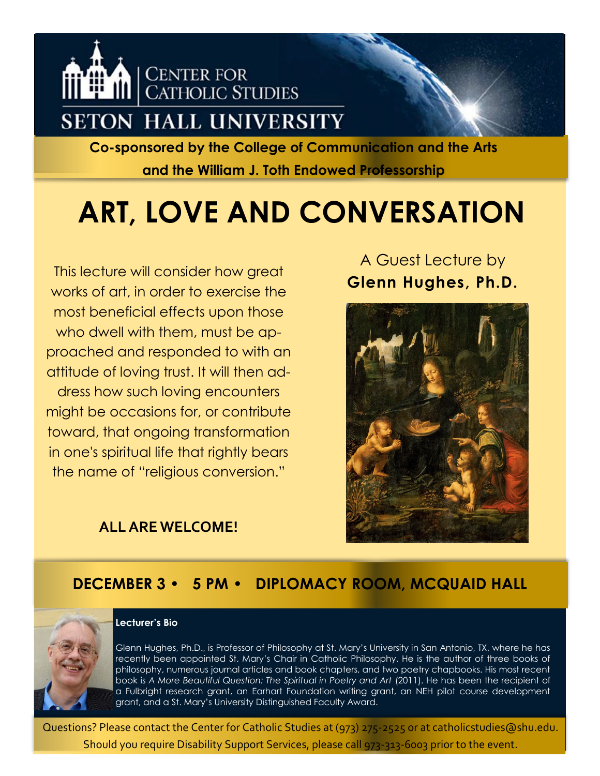

**Co-sponsored by the College of Communication and the Arts and the William J. Toth Endowed Professorship**

# **ART, LOVE AND CONVERSATION**

This lecture will consider how great<br>**Glenn Hughes, Ph.D. Glenn Hughes, Ph.D.** works of art, in order to exercise the most beneficial effects upon those who dwell with them, must be approached and responded to with an attitude of loving trust. It will then address how such loving encounters might be occasions for, or contribute toward, that ongoing transformation in one's spiritual life that rightly bears the name of "religious conversion."

### **ALL ARE WELCOME!**

A Guest Lecture by



### **DECEMBER 3 • 5 PM • DIPLOMACY ROOM, MCQUAID HALL**



#### **Lecturer's Bio**

Glenn Hughes, Ph.D., is Professor of Philosophy at St. Mary's University in San Antonio, TX, where he has recently been appointed St. Mary's Chair in Catholic Philosophy. He is the author of three books of philosophy, numerous journal articles and book chapters, and two poetry chapbooks. His most recent book is *A More Beautiful Question: The Spiritual in Poetry and Art* (2011). He has been the recipient of a Fulbright research grant, an Earhart Foundation writing grant, an NEH pilot course development grant, and a St. Mary's University Distinguished Faculty Award.

Questions? Please contact the Center for Catholic Studies at (973) 275-2525 or at catholicstudies@shu.edu. Should you require Disability Support Services, please call 973-313-6003 prior to the event.